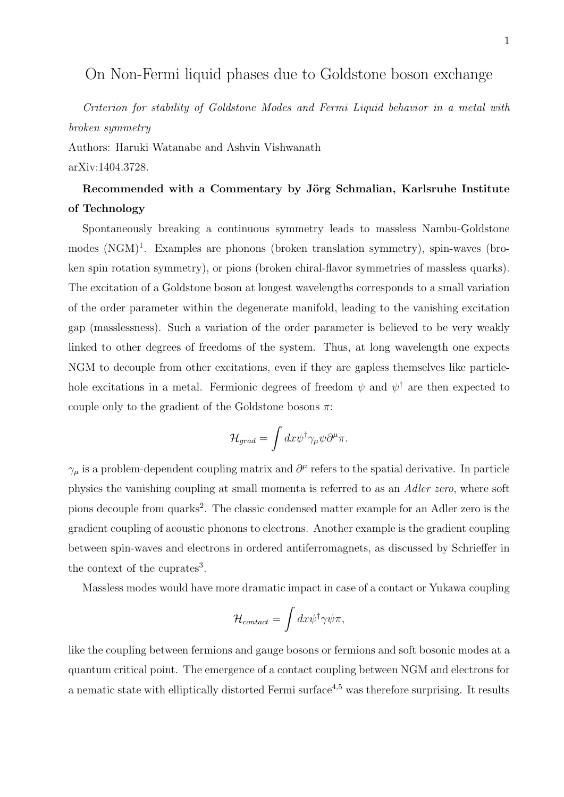## On Non-Fermi liquid phases due to Goldstone boson exchange

Criterion for stability of Goldstone Modes and Fermi Liquid behavior in a metal with broken symmetry

Authors: Haruki Watanabe and Ashvin Vishwanath arXiv:1404.3728.

## Recommended with a Commentary by Jörg Schmalian, Karlsruhe Institute of Technology

Spontaneously breaking a continuous symmetry leads to massless Nambu-Goldstone modes (NGM)<sup>1</sup>. Examples are phonons (broken translation symmetry), spin-waves (broken spin rotation symmetry), or pions (broken chiral-flavor symmetries of massless quarks). The excitation of a Goldstone boson at longest wavelengths corresponds to a small variation of the order parameter within the degenerate manifold, leading to the vanishing excitation gap (masslessness). Such a variation of the order parameter is believed to be very weakly linked to other degrees of freedoms of the system. Thus, at long wavelength one expects NGM to decouple from other excitations, even if they are gapless themselves like particlehole excitations in a metal. Fermionic degrees of freedom  $\psi$  and  $\psi^{\dagger}$  are then expected to couple only to the gradient of the Goldstone bosons  $\pi$ :

$$
\mathcal{H}_{grad} = \int dx \psi^{\dagger} \gamma_{\mu} \psi \partial^{\mu} \pi.
$$

 $\gamma_{\mu}$  is a problem-dependent coupling matrix and  $\partial^{\mu}$  refers to the spatial derivative. In particle physics the vanishing coupling at small momenta is referred to as an Adler zero, where soft pions decouple from quarks<sup>2</sup>. The classic condensed matter example for an Adler zero is the gradient coupling of acoustic phonons to electrons. Another example is the gradient coupling between spin-waves and electrons in ordered antiferromagnets, as discussed by Schrieffer in the context of the cuprates<sup>3</sup>.

Massless modes would have more dramatic impact in case of a contact or Yukawa coupling

$$
{\cal H}_{contact}=\int dx \psi^\dagger \gamma \psi \pi,
$$

like the coupling between fermions and gauge bosons or fermions and soft bosonic modes at a quantum critical point. The emergence of a contact coupling between NGM and electrons for a nematic state with elliptically distorted Fermi surface<sup>4,5</sup> was therefore surprising. It results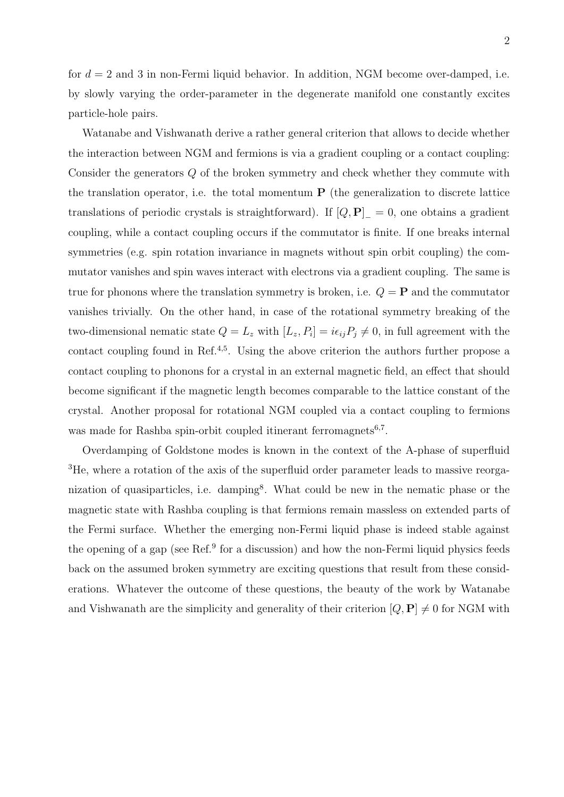2

for  $d = 2$  and 3 in non-Fermi liquid behavior. In addition, NGM become over-damped, i.e. by slowly varying the order-parameter in the degenerate manifold one constantly excites particle-hole pairs.

Watanabe and Vishwanath derive a rather general criterion that allows to decide whether the interaction between NGM and fermions is via a gradient coupling or a contact coupling: Consider the generators Q of the broken symmetry and check whether they commute with the translation operator, i.e. the total momentum  $P$  (the generalization to discrete lattice translations of periodic crystals is straightforward). If  $[Q, P]_ = 0$ , one obtains a gradient coupling, while a contact coupling occurs if the commutator is finite. If one breaks internal symmetries (e.g. spin rotation invariance in magnets without spin orbit coupling) the commutator vanishes and spin waves interact with electrons via a gradient coupling. The same is true for phonons where the translation symmetry is broken, i.e.  $Q = \mathbf{P}$  and the commutator vanishes trivially. On the other hand, in case of the rotational symmetry breaking of the two-dimensional nematic state  $Q = L_z$  with  $[L_z, P_i] = i\epsilon_{ij}P_j \neq 0$ , in full agreement with the contact coupling found in Ref.<sup>4,5</sup>. Using the above criterion the authors further propose a contact coupling to phonons for a crystal in an external magnetic field, an effect that should become significant if the magnetic length becomes comparable to the lattice constant of the crystal. Another proposal for rotational NGM coupled via a contact coupling to fermions was made for Rashba spin-orbit coupled itinerant ferromagnets<sup>6,7</sup>.

Overdamping of Goldstone modes is known in the context of the A-phase of superfluid <sup>3</sup>He, where a rotation of the axis of the superfluid order parameter leads to massive reorganization of quasiparticles, i.e. damping<sup>8</sup>. What could be new in the nematic phase or the magnetic state with Rashba coupling is that fermions remain massless on extended parts of the Fermi surface. Whether the emerging non-Fermi liquid phase is indeed stable against the opening of a gap (see Ref.<sup>9</sup> for a discussion) and how the non-Fermi liquid physics feeds back on the assumed broken symmetry are exciting questions that result from these considerations. Whatever the outcome of these questions, the beauty of the work by Watanabe and Vishwanath are the simplicity and generality of their criterion  $[Q, \mathbf{P}] \neq 0$  for NGM with